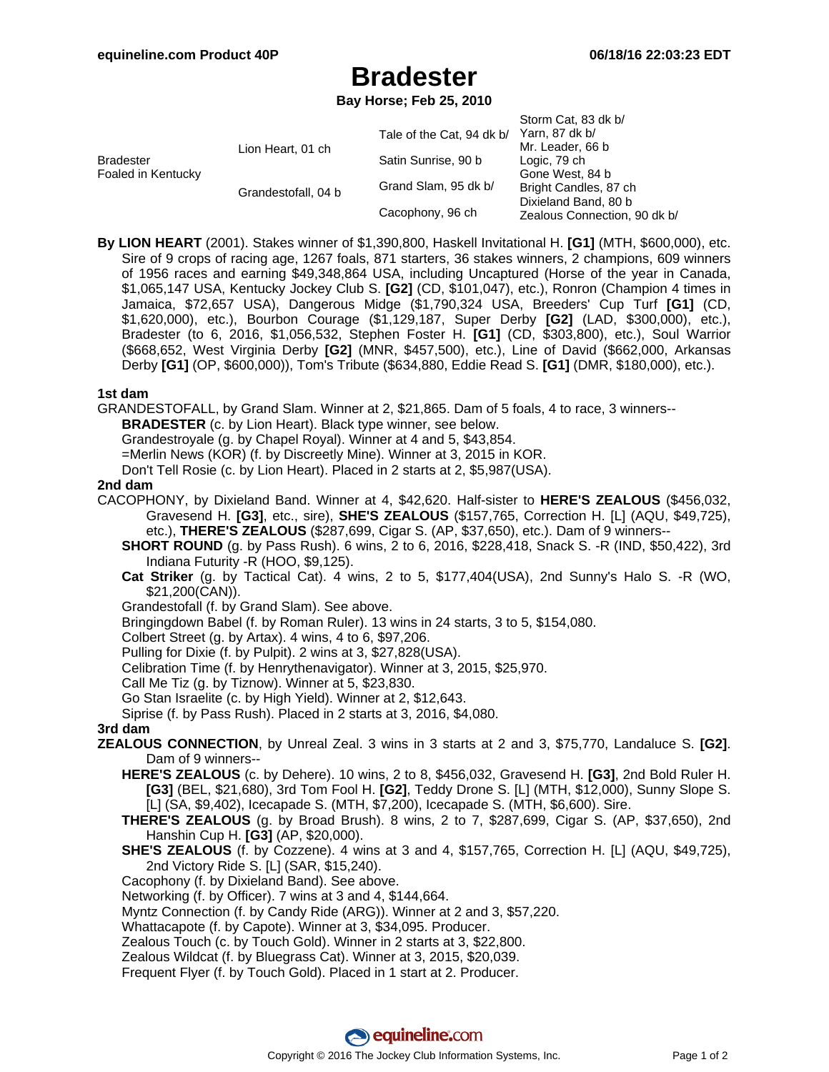# **Bradester**

**Bay Horse; Feb 25, 2010**

|                                        |                     |                           | Storm Cat, 83 dk b/          |
|----------------------------------------|---------------------|---------------------------|------------------------------|
| <b>Bradester</b><br>Foaled in Kentucky | Lion Heart, 01 ch   | Tale of the Cat, 94 dk b/ | Yarn, 87 dk b/               |
|                                        |                     |                           | Mr. Leader, 66 b             |
|                                        |                     | Satin Sunrise, 90 b       | Logic, 79 ch                 |
|                                        |                     |                           | Gone West, 84 b              |
|                                        | Grandestofall, 04 b | Grand Slam, 95 dk b/      | Bright Candles, 87 ch        |
|                                        |                     | Cacophony, 96 ch          | Dixieland Band, 80 b         |
|                                        |                     |                           | Zealous Connection, 90 dk b/ |

**By LION HEART** (2001). Stakes winner of \$1,390,800, Haskell Invitational H. **[G1]** (MTH, \$600,000), etc. Sire of 9 crops of racing age, 1267 foals, 871 starters, 36 stakes winners, 2 champions, 609 winners of 1956 races and earning \$49,348,864 USA, including Uncaptured (Horse of the year in Canada, \$1,065,147 USA, Kentucky Jockey Club S. **[G2]** (CD, \$101,047), etc.), Ronron (Champion 4 times in Jamaica, \$72,657 USA), Dangerous Midge (\$1,790,324 USA, Breeders' Cup Turf **[G1]** (CD, \$1,620,000), etc.), Bourbon Courage (\$1,129,187, Super Derby **[G2]** (LAD, \$300,000), etc.), Bradester (to 6, 2016, \$1,056,532, Stephen Foster H. **[G1]** (CD, \$303,800), etc.), Soul Warrior (\$668,652, West Virginia Derby **[G2]** (MNR, \$457,500), etc.), Line of David (\$662,000, Arkansas Derby **[G1]** (OP, \$600,000)), Tom's Tribute (\$634,880, Eddie Read S. **[G1]** (DMR, \$180,000), etc.).

### **1st dam**

GRANDESTOFALL, by Grand Slam. Winner at 2, \$21,865. Dam of 5 foals, 4 to race, 3 winners--

**BRADESTER** (c. by Lion Heart). Black type winner, see below.

Grandestroyale (g. by Chapel Royal). Winner at 4 and 5, \$43,854.

=Merlin News (KOR) (f. by Discreetly Mine). Winner at 3, 2015 in KOR.

Don't Tell Rosie (c. by Lion Heart). Placed in 2 starts at 2, \$5,987(USA).

### **2nd dam**

- CACOPHONY, by Dixieland Band. Winner at 4, \$42,620. Half-sister to **HERE'S ZEALOUS** (\$456,032, Gravesend H. **[G3]**, etc., sire), **SHE'S ZEALOUS** (\$157,765, Correction H. [L] (AQU, \$49,725), etc.), **THERE'S ZEALOUS** (\$287,699, Cigar S. (AP, \$37,650), etc.). Dam of 9 winners--
	- **SHORT ROUND** (g. by Pass Rush). 6 wins, 2 to 6, 2016, \$228,418, Snack S. -R (IND, \$50,422), 3rd Indiana Futurity -R (HOO, \$9,125).
	- **Cat Striker** (g. by Tactical Cat). 4 wins, 2 to 5, \$177,404(USA), 2nd Sunny's Halo S. -R (WO, \$21,200(CAN)).
	- Grandestofall (f. by Grand Slam). See above.
	- Bringingdown Babel (f. by Roman Ruler). 13 wins in 24 starts, 3 to 5, \$154,080.
	- Colbert Street (g. by Artax). 4 wins, 4 to 6, \$97,206.
	- Pulling for Dixie (f. by Pulpit). 2 wins at 3, \$27,828(USA).
	- Celibration Time (f. by Henrythenavigator). Winner at 3, 2015, \$25,970.
	- Call Me Tiz (g. by Tiznow). Winner at 5, \$23,830.
	- Go Stan Israelite (c. by High Yield). Winner at 2, \$12,643.
	- Siprise (f. by Pass Rush). Placed in 2 starts at 3, 2016, \$4,080.

## **3rd dam**

- **ZEALOUS CONNECTION**, by Unreal Zeal. 3 wins in 3 starts at 2 and 3, \$75,770, Landaluce S. **[G2]**. Dam of 9 winners--
	- **HERE'S ZEALOUS** (c. by Dehere). 10 wins, 2 to 8, \$456,032, Gravesend H. **[G3]**, 2nd Bold Ruler H. **[G3]** (BEL, \$21,680), 3rd Tom Fool H. **[G2]**, Teddy Drone S. [L] (MTH, \$12,000), Sunny Slope S. [L] (SA, \$9,402), Icecapade S. (MTH, \$7,200), Icecapade S. (MTH, \$6,600). Sire.
	- **THERE'S ZEALOUS** (g. by Broad Brush). 8 wins, 2 to 7, \$287,699, Cigar S. (AP, \$37,650), 2nd Hanshin Cup H. **[G3]** (AP, \$20,000).
	- **SHE'S ZEALOUS** (f. by Cozzene). 4 wins at 3 and 4, \$157,765, Correction H. [L] (AQU, \$49,725), 2nd Victory Ride S. [L] (SAR, \$15,240).
	- Cacophony (f. by Dixieland Band). See above.
	- Networking (f. by Officer). 7 wins at 3 and 4, \$144,664.
	- Myntz Connection (f. by Candy Ride (ARG)). Winner at 2 and 3, \$57,220.
	- Whattacapote (f. by Capote). Winner at 3, \$34,095. Producer.
	- Zealous Touch (c. by Touch Gold). Winner in 2 starts at 3, \$22,800.
	- Zealous Wildcat (f. by Bluegrass Cat). Winner at 3, 2015, \$20,039.

Frequent Flyer (f. by Touch Gold). Placed in 1 start at 2. Producer.